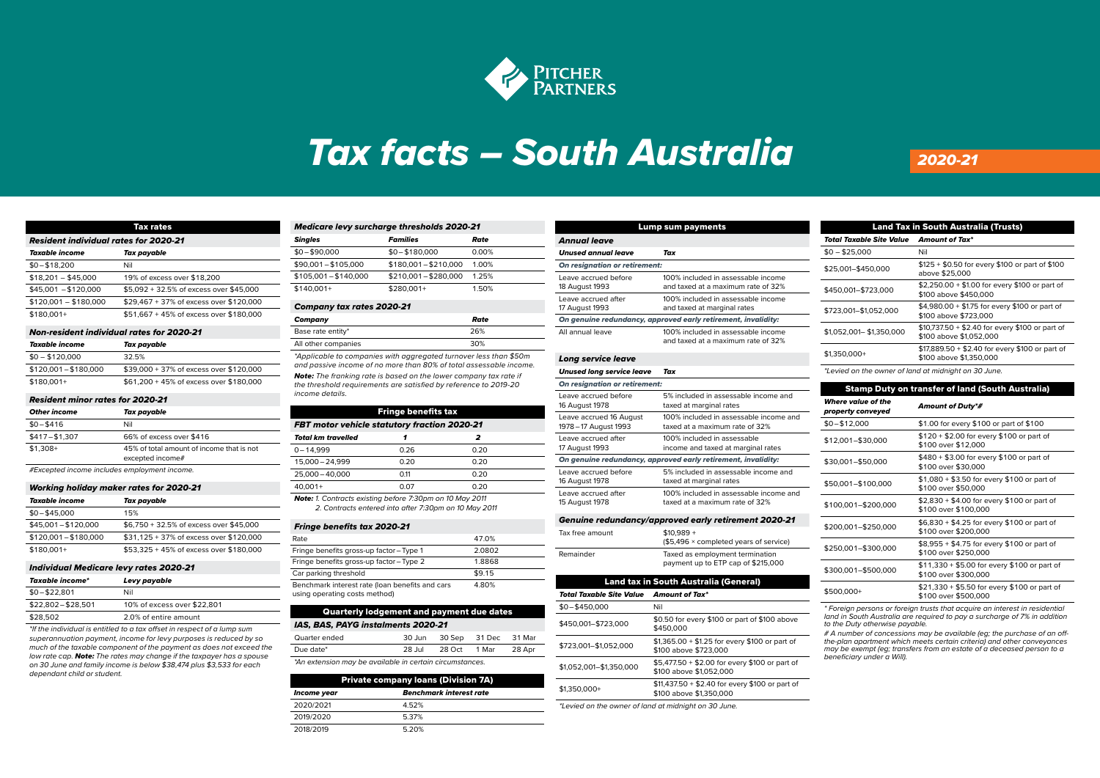

# *Tax facts – South Australia 2020-21* Private company loans (Division 7A)

2019/2020 5.37%

| Tax rates                                    |                                         |  |
|----------------------------------------------|-----------------------------------------|--|
| <b>Resident individual rates for 2020-21</b> |                                         |  |
| Taxable income                               | Tax payable                             |  |
| $$0 - $18,200$                               | Nil                                     |  |
| $$18.201 - $45.000$                          | 19% of excess over \$18,200             |  |
| $$45,001 - $120,000$                         | \$5.092 + 32.5% of excess over \$45.000 |  |
| $$120,001 - $180,000$                        | \$29,467 + 37% of excess over \$120,000 |  |
| $$180.001+$                                  | \$51.667 + 45% of excess over \$180.000 |  |
|                                              |                                         |  |

#### *Non-resident individual rates for 2020-21*

| Taxable income      | Tax payable                             |  |
|---------------------|-----------------------------------------|--|
| $$0 - $120,000$     | 32.5%                                   |  |
| \$120,001-\$180,000 | \$39,000 + 37% of excess over \$120,000 |  |
| $$180,001+$         | \$61,200 + 45% of excess over \$180,000 |  |

### *Resident minor rates for 2020-21*

| <b>Other income</b>                                                        | Tax payable              |  |
|----------------------------------------------------------------------------|--------------------------|--|
| $$0 - $416$                                                                | Nil                      |  |
| $$417 - $1.307$                                                            | 66% of excess over \$416 |  |
| $$1.308+$<br>45% of total amount of income that is not<br>excepted income# |                          |  |
| #Excepted income includes employment income.                               |                          |  |

#### *Working holiday maker rates for 2020-21*

| Taxable income        | Tax payable                             |
|-----------------------|-----------------------------------------|
| $$0 - $45,000$        | 15%                                     |
| $$45.001 - $120.000$  | \$6,750 + 32.5% of excess over \$45,000 |
| $$120.001 - $180.000$ | \$31,125 + 37% of excess over \$120,000 |
| $$180.001+$           | \$53.325 + 45% of excess over \$180.000 |

#### *Individual Medicare levy rates 2020-21*

| Taxable income*     | Levy payable                |
|---------------------|-----------------------------|
| $$0 - $22.801$      | Nil                         |
| $$22.802 - $28.501$ | 10% of excess over \$22,801 |
| \$28,502            | 2.0% of entire amount       |

*\*If the individual is entitled to a tax off set in respect of a lump sum superannuation payment, income for levy purposes is reduced by so much of the taxable component of the payment as does not exceed the low rate cap. Note: The rates may change if the taxpayer has a spouse on 30 June and family income is below \$38,474 plus \$3,533 for each dependant child or student.*

| <b>Medicare levy surcharge thresholds 2020-21</b> |                       |       |
|---------------------------------------------------|-----------------------|-------|
| <b>Singles</b>                                    | <b>Families</b>       | Rate  |
| $$0 - $90,000$                                    | $$0 - $180,000$       | 0.00% |
| $$90,001 - $105,000$                              | $$180,001 - $210,000$ | 1.00% |
| $$105,001 - $140,000$                             | $$210,001 - $280,000$ | 1 25% |
| $$140.001+$                                       | $$280.001+$           | 1.50% |

## *Company tax rates 2020-21*

| Company                                                                                                                                      | Rate |
|----------------------------------------------------------------------------------------------------------------------------------------------|------|
| Base rate entity*                                                                                                                            | 26%  |
| All other companies                                                                                                                          | 30%  |
| *Applicable to companies with aggregated turnover less than \$50m<br>and passive income of no more than 80% of total assessable income.      |      |
| <b>Note:</b> The franking rate is based on the lower company tax rate if<br>the threshold requirements are satisfied by reference to 2019-20 |      |

*the threshold requirements are satisfi ed by reference to 2019-20 income details.*

| <b>Fringe benefits tax</b>                                                                                               |      |      |  |
|--------------------------------------------------------------------------------------------------------------------------|------|------|--|
| FBT motor vehicle statutory fraction 2020-21                                                                             |      |      |  |
| <b>Total km travelled</b>                                                                                                |      | 2    |  |
| $0 - 14.999$                                                                                                             | 0.26 | 0.20 |  |
| 15,000 - 24,999                                                                                                          | 0.20 | 0.20 |  |
| 25,000 - 40,000                                                                                                          | 0.11 | 0.20 |  |
| $40.001 +$                                                                                                               | 0.07 | 0.20 |  |
| <b>Note:</b> 1. Contracts existing before 7:30pm on 10 May 2011<br>2. Contracts entered into after 7:30pm on 10 May 2011 |      |      |  |

#### **Fringe benefits tax 2020-21**

| Rate                                                                             | 47.0%                                    |
|----------------------------------------------------------------------------------|------------------------------------------|
| Fringe benefits gross-up factor-Type 1                                           | 2.0802                                   |
| Fringe benefits gross-up factor - Type 2                                         | 1.8868                                   |
| Car parking threshold                                                            | \$9.15                                   |
| Benchmark interest rate (loan benefits and cars<br>using operating costs method) | 4.80%                                    |
|                                                                                  | and an account of the state of the first |

| <b>Quarterly lodgement and payment due dates</b>         |        |        |        |        |
|----------------------------------------------------------|--------|--------|--------|--------|
| IAS, BAS, PAYG instalments 2020-21                       |        |        |        |        |
| Quarter ended                                            | 30 Jun | 30 Sep | 31 Dec | 31 Mar |
| Due date*                                                | 28 Jul | 28 Oct | 1 Mar  | 28 Apr |
| *An extension may be available in certain circumstances. |        |        |        |        |

| <b>Private company loans (Division 7A)</b> |       |  |
|--------------------------------------------|-------|--|
| Benchmark interest rate<br>Income year     |       |  |
| 2020/2021                                  | 4.52% |  |
| 2019/2020                                  | 5.37% |  |
| 2018/2019                                  | 5.20% |  |

|                                                  | Lump sum payments                                                          |
|--------------------------------------------------|----------------------------------------------------------------------------|
| <b>Annual leave</b>                              |                                                                            |
| <b>Unused annual leave</b>                       | Tax                                                                        |
| On resignation or retirement:                    |                                                                            |
| Leave accrued before<br>18 August 1993           | 100% included in assessable income<br>and taxed at a maximum rate of 32%   |
| Leave accrued after<br>17 August 1993            | 100% included in assessable income<br>and taxed at marginal rates          |
|                                                  | On genuine redundancy, approved early retirement, invalidity:              |
| All annual leave                                 | 100% included in assessable income<br>and taxed at a maximum rate of 32%   |
| Long service leave                               |                                                                            |
| <b>Unused long service leave</b>                 | Tax                                                                        |
| On resignation or retirement:                    |                                                                            |
| Leave accrued before<br>16 August 1978           | 5% included in assessable income and<br>taxed at marginal rates            |
| Leave accrued 16 August<br>1978 - 17 August 1993 | 100% included in assessable income and<br>taxed at a maximum rate of 32%   |
| Leave accrued after<br>17 August 1993            | 100% included in assessable<br>income and taxed at marginal rates          |
|                                                  | On genuine redundancy, approved early retirement, invalidity:              |
| Leave accrued before<br>16 August 1978           | 5% included in assessable income and<br>taxed at marginal rates            |
| Leave accrued after<br>15 August 1978            | 100% included in assessable income and<br>taxed at a maximum rate of 32%   |
|                                                  | Genuine redundancy/approved early retirement 2020-21                       |
| Tax free amount                                  | $$10.989 +$<br>(\$5,496 × completed years of service)                      |
| Remainder                                        | Taxed as employment termination<br>payment up to ETP cap of \$215,000      |
|                                                  | Land tax in South Australia (General)                                      |
| <b>Total Taxable Site Value</b>                  | <b>Amount of Tax*</b>                                                      |
| \$0-\$450,000                                    | Nil                                                                        |
| \$450,001-\$723,000                              | \$0.50 for every \$100 or part of \$100 above<br>\$450,000                 |
| \$723,001-\$1,052,000                            | $$1,365.00 + $1.25$ for every \$100 or part of<br>\$100 above \$723,000    |
| \$1,052,001-\$1,350,000                          | \$5,477.50 + \$2.00 for every \$100 or part of<br>\$100 above \$1,052,000  |
| \$1,350,000+                                     | \$11,437.50 + \$2.40 for every \$100 or part of<br>\$100 above \$1,350,000 |

| <b>Land Tax in South Australia (Trusts)</b>          |                                                                            |  |  |
|------------------------------------------------------|----------------------------------------------------------------------------|--|--|
| Total Taxable Site Value<br><b>Amount of Tax*</b>    |                                                                            |  |  |
| $$0 - $25.000$                                       | Nil                                                                        |  |  |
| \$25,001-\$450,000                                   | \$125 + \$0.50 for every \$100 or part of \$100<br>above \$25,000          |  |  |
| \$450,001-\$723,000                                  | \$2,250.00 + \$1.00 for every \$100 or part of<br>\$100 above \$450,000    |  |  |
| \$723.001-\$1.052.000                                | \$4.980.00 + \$1.75 for every \$100 or part of<br>\$100 above \$723,000    |  |  |
| \$1,052,001 - \$1,350,000                            | \$10,737.50 + \$2.40 for every \$100 or part of<br>\$100 above \$1,052,000 |  |  |
| \$1.350.000+                                         | \$17,889.50 + \$2.40 for every \$100 or part of<br>\$100 above \$1,350,000 |  |  |
| *Levied on the owner of land at midnight on 30 June. |                                                                            |  |  |

Stamp Duty on transfer of land (South Australia) *Where value of the property conveyed Amount of Duty\*#* \$0 – \$12,000 \$1.00 for every \$100 or part of \$100 \$12,001–\$30,000 \$120 + \$2.00 for every \$100 or part of \$100 over \$12,000 *Adelaide*  $$30,001 - $50,000$   $$480 + $3.00$  for every \$100 or part of \$100 over \$30,000 \$1,080 + \$3.50 for every \$100 or part of<br>\$100 aver \$50,000<br>\$100 aver \$50,000 \$100 over \$50,000  $\frac{$2,830 + $4.00 \text{ for every $100 \text{ or part of} \$}}{400,001 - $200,000}$ \$100 over \$100,000 *We provide no assurance to any party in respect of the accuracy*  \$200,001–\$250,000 \$6,830 + \$4.25 for every \$100 or part of *or otherwise of the information contained in the Tax Facts. We*  00,001-\$250,000 **comissions for any errors, parts** \$250,001–\$300,000 \$8,955 + \$4.75 for every \$100 or part of *changes to the law and/or interpretation, or for any loss arising*  \$100 over \$250,000 \$100,001–\$500,000 \$11,330 + \$5.00 for every \$100 or part of \$100 over \$300,000 *Pitcher Partners is an association of independent fi rms. Liability*  \$21,330 + \$5.50 for every \$100 or part of \$500,000 + \$100 streement of \$100 or part of \$100 over \$500,000 *Legislation. Pitcher Partners is a member of the global network*   $$250,001 - $300,000$ 

**\*** Foreign persons or foreign trusts that acquire an interest in residential *land in South Australia are required to pay a surcharge of 7% in addition separate and independent legal entities. to the Duty otherwise payable.*

*# A number of concessions may be available (eg; the purchase of an off - the-plan apartment which meets certain criteria) and other conveyances*  may be exempt (eg; transfers from an estate of a deceased person to a<br>beneficiary under a Will). beneficiary under a Will).

*\*Levied on the owner of land at midnight on 30 June.*